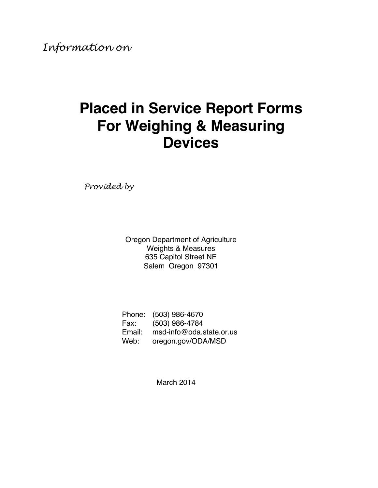# **Placed in Service Report Forms For Weighing & Measuring Devices**

*Provided by*

Oregon Department of Agriculture Weights & Measures 635 Capitol Street NE Salem Oregon 97301

| Phone: | (503) 986-4670           |
|--------|--------------------------|
| Fax:   | (503) 986-4784           |
| Email: | msd-info@oda.state.or.us |
| Web:   | oregon.gov/ODA/MSD       |

March 2014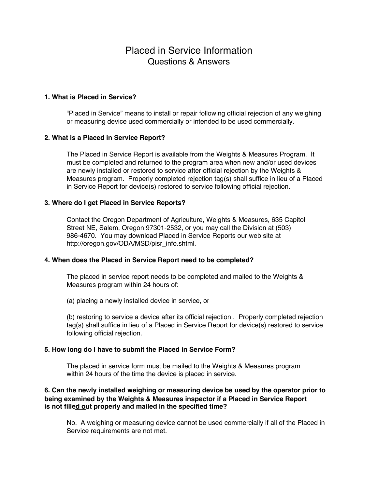# Placed in Service Information Questions & Answers

# **1. What is Placed in Service?**

"Placed in Service" means to install or repair following official rejection of any weighing or measuring device used commercially or intended to be used commercially.

# **2. What is a Placed in Service Report?**

The Placed in Service Report is available from the Weights & Measures Program. It must be completed and returned to the program area when new and/or used devices are newly installed or restored to service after official rejection by the Weights & Measures program. Properly completed rejection tag(s) shall suffice in lieu of a Placed in Service Report for device(s) restored to service following official rejection.

# **3. Where do I get Placed in Service Reports?**

Contact the Oregon Department of Agriculture, Weights & Measures, 635 Capitol Street NE, Salem, Oregon 97301-2532, or you may call the Division at (503) 986-4670. You may download Placed in Service Reports our web site at http://oregon.gov/ODA/MSD/pisr\_info.shtml.

# **4. When does the Placed in Service Report need to be completed?**

The placed in service report needs to be completed and mailed to the Weights & Measures program within 24 hours of:

(a) placing a newly installed device in service, or

(b) restoring to service a device after its official rejection . Properly completed rejection tag(s) shall suffice in lieu of a Placed in Service Report for device(s) restored to service following official rejection.

# **5. How long do I have to submit the Placed in Service Form?**

The placed in service form must be mailed to the Weights & Measures program within 24 hours of the time the device is placed in service.

# **6. Can the newly installed weighing or measuring device be used by the operator prior to being examined by the Weights & Measures inspector if a Placed in Service Report is not filled out properly and mailed in the specified time?**

No. A weighing or measuring device cannot be used commercially if all of the Placed in Service requirements are not met.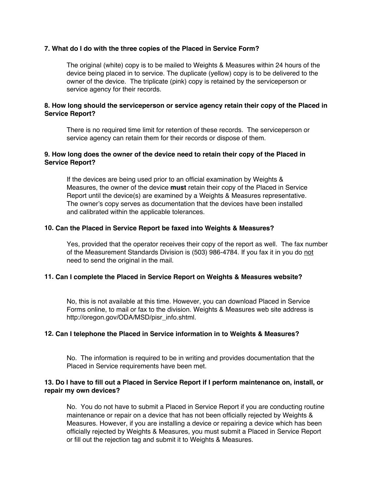# **7. What do I do with the three copies of the Placed in Service Form?**

The original (white) copy is to be mailed to Weights & Measures within 24 hours of the device being placed in to service. The duplicate (yellow) copy is to be delivered to the owner of the device. The triplicate (pink) copy is retained by the serviceperson or service agency for their records.

# **8. How long should the serviceperson or service agency retain their copy of the Placed in Service Report?**

There is no required time limit for retention of these records. The serviceperson or service agency can retain them for their records or dispose of them.

# **9. How long does the owner of the device need to retain their copy of the Placed in Service Report?**

If the devices are being used prior to an official examination by Weights & Measures, the owner of the device **must** retain their copy of the Placed in Service Report until the device(s) are examined by a Weights & Measures representative. The owner's copy serves as documentation that the devices have been installed and calibrated within the applicable tolerances.

# **10. Can the Placed in Service Report be faxed into Weights & Measures?**

Yes, provided that the operator receives their copy of the report as well. The fax number of the Measurement Standards Division is (503) 986-4784. If you fax it in you do not need to send the original in the mail.

# **11. Can I complete the Placed in Service Report on Weights & Measures website?**

No, this is not available at this time. However, you can download Placed in Service Forms online, to mail or fax to the division. Weights & Measures web site address is http://oregon.gov/ODA/MSD/pisr\_info.shtml.

# **12. Can I telephone the Placed in Service information in to Weights & Measures?**

No. The information is required to be in writing and provides documentation that the Placed in Service requirements have been met.

# **13. Do I have to fill out a Placed in Service Report if I perform maintenance on, install, or repair my own devices?**

No. You do not have to submit a Placed in Service Report if you are conducting routine maintenance or repair on a device that has not been officially rejected by Weights & Measures. However, if you are installing a device or repairing a device which has been officially rejected by Weights & Measures, you must submit a Placed in Service Report or fill out the rejection tag and submit it to Weights & Measures.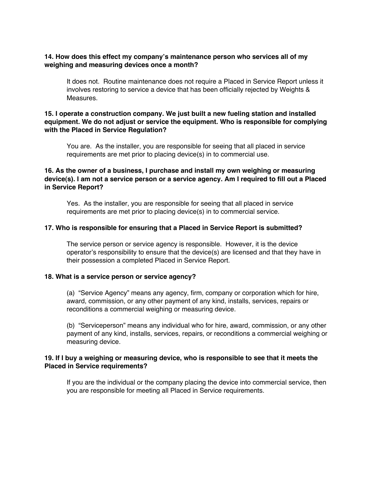# **14. How does this effect my company's maintenance person who services all of my weighing and measuring devices once a month?**

It does not. Routine maintenance does not require a Placed in Service Report unless it involves restoring to service a device that has been officially rejected by Weights & Measures.

# **15. I operate a construction company. We just built a new fueling station and installed equipment. We do not adjust or service the equipment. Who is responsible for complying with the Placed in Service Regulation?**

You are. As the installer, you are responsible for seeing that all placed in service requirements are met prior to placing device(s) in to commercial use.

# **16. As the owner of a business, I purchase and install my own weighing or measuring device(s). I am not a service person or a service agency. Am I required to fill out a Placed in Service Report?**

Yes. As the installer, you are responsible for seeing that all placed in service requirements are met prior to placing device(s) in to commercial service.

# **17. Who is responsible for ensuring that a Placed in Service Report is submitted?**

The service person or service agency is responsible. However, it is the device operator's responsibility to ensure that the device(s) are licensed and that they have in their possession a completed Placed in Service Report.

# **18. What is a service person or service agency?**

(a) "Service Agency" means any agency, firm, company or corporation which for hire, award, commission, or any other payment of any kind, installs, services, repairs or reconditions a commercial weighing or measuring device.

(b) "Serviceperson" means any individual who for hire, award, commission, or any other payment of any kind, installs, services, repairs, or reconditions a commercial weighing or measuring device.

# **19. If I buy a weighing or measuring device, who is responsible to see that it meets the Placed in Service requirements?**

If you are the individual or the company placing the device into commercial service, then you are responsible for meeting all Placed in Service requirements.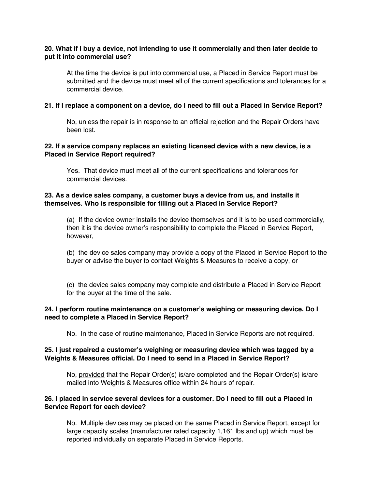# **20. What if I buy a device, not intending to use it commercially and then later decide to put it into commercial use?**

At the time the device is put into commercial use, a Placed in Service Report must be submitted and the device must meet all of the current specifications and tolerances for a commercial device.

#### **21. If I replace a component on a device, do I need to fill out a Placed in Service Report?**

No, unless the repair is in response to an official rejection and the Repair Orders have been lost.

# **22. If a service company replaces an existing licensed device with a new device, is a Placed in Service Report required?**

Yes. That device must meet all of the current specifications and tolerances for commercial devices.

# **23. As a device sales company, a customer buys a device from us, and installs it themselves. Who is responsible for filling out a Placed in Service Report?**

(a) If the device owner installs the device themselves and it is to be used commercially, then it is the device owner's responsibility to complete the Placed in Service Report, however,

(b) the device sales company may provide a copy of the Placed in Service Report to the buyer or advise the buyer to contact Weights & Measures to receive a copy, or

(c) the device sales company may complete and distribute a Placed in Service Report for the buyer at the time of the sale.

# **24. I perform routine maintenance on a customer's weighing or measuring device. Do I need to complete a Placed in Service Report?**

No. In the case of routine maintenance, Placed in Service Reports are not required.

# **25. I just repaired a customer's weighing or measuring device which was tagged by a Weights & Measures official. Do I need to send in a Placed in Service Report?**

No, provided that the Repair Order(s) is/are completed and the Repair Order(s) is/are mailed into Weights & Measures office within 24 hours of repair.

# **26. I placed in service several devices for a customer. Do I need to fill out a Placed in Service Report for each device?**

No. Multiple devices may be placed on the same Placed in Service Report, except for large capacity scales (manufacturer rated capacity 1,161 lbs and up) which must be reported individually on separate Placed in Service Reports.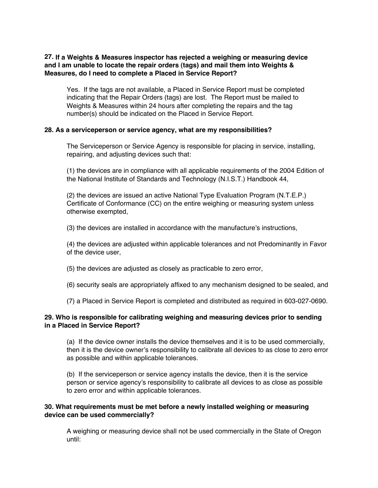# **27. If a Weights & Measures inspector has rejected a weighing or measuring device and I am unable to locate the repair orders (tags) and mail them into Weights & Measures, do I need to complete a Placed in Service Report?**

Yes. If the tags are not available, a Placed in Service Report must be completed indicating that the Repair Orders (tags) are lost. The Report must be mailed to Weights & Measures within 24 hours after completing the repairs and the tag number(s) should be indicated on the Placed in Service Report.

# **28. As a serviceperson or service agency, what are my responsibilities?**

The Serviceperson or Service Agency is responsible for placing in service, installing, repairing, and adjusting devices such that:

(1) the devices are in compliance with all applicable requirements of the 2004 Edition of the National Institute of Standards and Technology (N.I.S.T.) Handbook 44,

(2) the devices are issued an active National Type Evaluation Program (N.T.E.P.) Certificate of Conformance (CC) on the entire weighing or measuring system unless otherwise exempted,

(3) the devices are installed in accordance with the manufacture's instructions,

(4) the devices are adjusted within applicable tolerances and not Predominantly in Favor of the device user,

(5) the devices are adjusted as closely as practicable to zero error,

(6) security seals are appropriately affixed to any mechanism designed to be sealed, and

(7) a Placed in Service Report is completed and distributed as required in 603-027-0690.

# **29. Who is responsible for calibrating weighing and measuring devices prior to sending in a Placed in Service Report?**

(a) If the device owner installs the device themselves and it is to be used commercially, then it is the device owner's responsibility to calibrate all devices to as close to zero error as possible and within applicable tolerances.

(b) If the serviceperson or service agency installs the device, then it is the service person or service agency's responsibility to calibrate all devices to as close as possible to zero error and within applicable tolerances.

# **30. What requirements must be met before a newly installed weighing or measuring device can be used commercially?**

A weighing or measuring device shall not be used commercially in the State of Oregon until: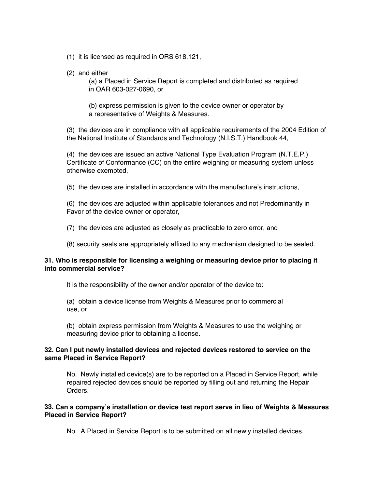- (1) it is licensed as required in ORS 618.121,
- (2) and either

(a) a Placed in Service Report is completed and distributed as required in OAR 603-027-0690, or

(b) express permission is given to the device owner or operator by a representative of Weights & Measures.

(3) the devices are in compliance with all applicable requirements of the 2004 Edition of the National Institute of Standards and Technology (N.I.S.T.) Handbook 44,

(4) the devices are issued an active National Type Evaluation Program (N.T.E.P.) Certificate of Conformance (CC) on the entire weighing or measuring system unless otherwise exempted,

(5) the devices are installed in accordance with the manufacture's instructions,

(6) the devices are adjusted within applicable tolerances and not Predominantly in Favor of the device owner or operator,

(7) the devices are adjusted as closely as practicable to zero error, and

(8) security seals are appropriately affixed to any mechanism designed to be sealed.

# **31. Who is responsible for licensing a weighing or measuring device prior to placing it into commercial service?**

It is the responsibility of the owner and/or operator of the device to:

(a) obtain a device license from Weights & Measures prior to commercial use, or

(b) obtain express permission from Weights & Measures to use the weighing or measuring device prior to obtaining a license.

# **32. Can I put newly installed devices and rejected devices restored to service on the same Placed in Service Report?**

No. Newly installed device(s) are to be reported on a Placed in Service Report, while repaired rejected devices should be reported by filling out and returning the Repair Orders.

# **33. Can a company's installation or device test report serve in lieu of Weights & Measures Placed in Service Report?**

No. A Placed in Service Report is to be submitted on all newly installed devices.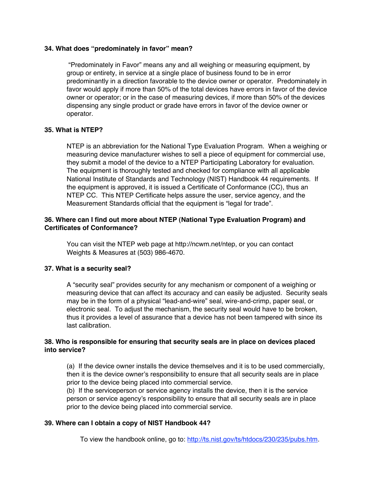# **34. What does "predominately in favor" mean?**

 "Predominately in Favor" means any and all weighing or measuring equipment, by group or entirety, in service at a single place of business found to be in error predominantly in a direction favorable to the device owner or operator. Predominately in favor would apply if more than 50% of the total devices have errors in favor of the device owner or operator; or in the case of measuring devices, if more than 50% of the devices dispensing any single product or grade have errors in favor of the device owner or operator.

# **35. What is NTEP?**

NTEP is an abbreviation for the National Type Evaluation Program. When a weighing or measuring device manufacturer wishes to sell a piece of equipment for commercial use, they submit a model of the device to a NTEP Participating Laboratory for evaluation. The equipment is thoroughly tested and checked for compliance with all applicable National Institute of Standards and Technology (NIST) Handbook 44 requirements. If the equipment is approved, it is issued a Certificate of Conformance (CC), thus an NTEP CC. This NTEP Certificate helps assure the user, service agency, and the Measurement Standards official that the equipment is "legal for trade".

# **36. Where can I find out more about NTEP (National Type Evaluation Program) and Certificates of Conformance?**

You can visit the NTEP web page at http://ncwm.net/ntep, or you can contact Weights & Measures at (503) 986-4670.

# **37. What is a security seal?**

A "security seal" provides security for any mechanism or component of a weighing or measuring device that can affect its accuracy and can easily be adjusted. Security seals may be in the form of a physical "lead-and-wire" seal, wire-and-crimp, paper seal, or electronic seal. To adjust the mechanism, the security seal would have to be broken, thus it provides a level of assurance that a device has not been tampered with since its last calibration.

# **38. Who is responsible for ensuring that security seals are in place on devices placed into service?**

(a) If the device owner installs the device themselves and it is to be used commercially, then it is the device owner's responsibility to ensure that all security seals are in place prior to the device being placed into commercial service.

(b) If the serviceperson or service agency installs the device, then it is the service person or service agency's responsibility to ensure that all security seals are in place prior to the device being placed into commercial service.

# **39. Where can I obtain a copy of NIST Handbook 44?**

To view the handbook online, go to: http://ts.nist.gov/ts/htdocs/230/235/pubs.htm.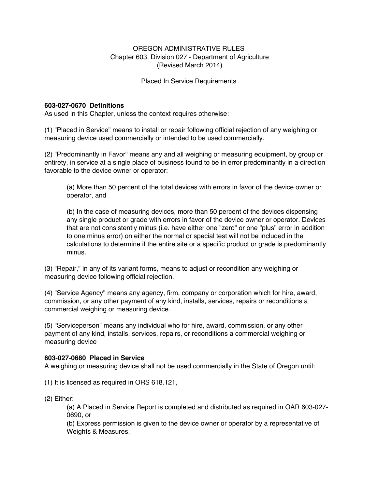# OREGON ADMINISTRATIVE RULES Chapter 603, Division 027 - Department of Agriculture (Revised March 2014)

Placed In Service Requirements

# **603-027-0670 Definitions**

As used in this Chapter, unless the context requires otherwise:

(1) "Placed in Service" means to install or repair following official rejection of any weighing or measuring device used commercially or intended to be used commercially.

(2) "Predominantly in Favor" means any and all weighing or measuring equipment, by group or entirety, in service at a single place of business found to be in error predominantly in a direction favorable to the device owner or operator:

(a) More than 50 percent of the total devices with errors in favor of the device owner or operator, and

(b) In the case of measuring devices, more than 50 percent of the devices dispensing any single product or grade with errors in favor of the device owner or operator. Devices that are not consistently minus (i.e. have either one "zero" or one "plus" error in addition to one minus error) on either the normal or special test will not be included in the calculations to determine if the entire site or a specific product or grade is predominantly minus.

(3) "Repair," in any of its variant forms, means to adjust or recondition any weighing or measuring device following official rejection.

(4) "Service Agency" means any agency, firm, company or corporation which for hire, award, commission, or any other payment of any kind, installs, services, repairs or reconditions a commercial weighing or measuring device.

(5) "Serviceperson" means any individual who for hire, award, commission, or any other payment of any kind, installs, services, repairs, or reconditions a commercial weighing or measuring device

# **603-027-0680 Placed in Service**

A weighing or measuring device shall not be used commercially in the State of Oregon until:

(1) It is licensed as required in ORS 618.121,

(2) Either:

(a) A Placed in Service Report is completed and distributed as required in OAR 603-027- 0690, or

(b) Express permission is given to the device owner or operator by a representative of Weights & Measures,